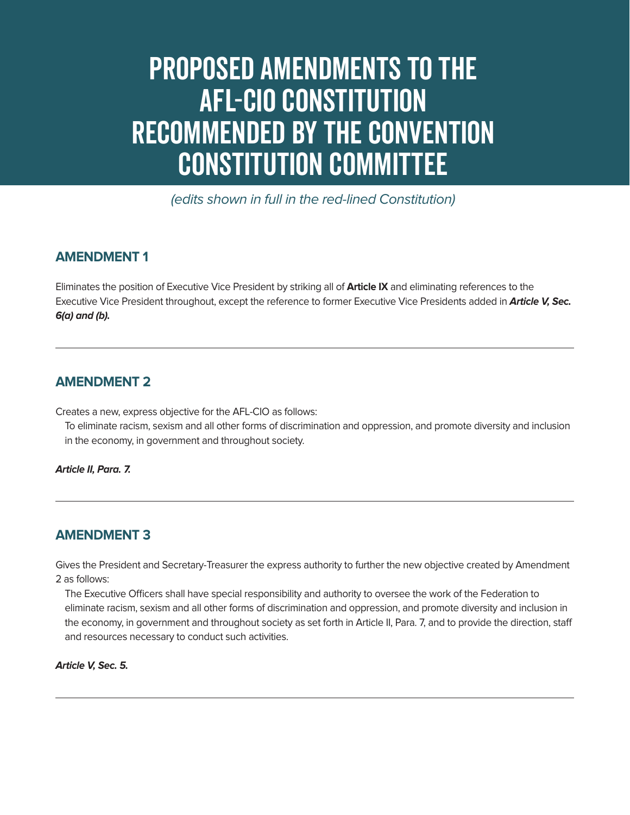# Proposed Amendments to the AFL-CIO Constitution Recommended by the Convention Constitution Committee

(edits shown in full in the red-lined Constitution)

# **AMENDMENT 1**

Eliminates the position of Executive Vice President by striking all of **Article IX** and eliminating references to the Executive Vice President throughout, except the reference to former Executive Vice Presidents added in **Article V, Sec. 6(a) and (b).** 

## **AMENDMENT 2**

Creates a new, express objective for the AFL-CIO as follows:

To eliminate racism, sexism and all other forms of discrimination and oppression, and promote diversity and inclusion in the economy, in government and throughout society.

**Article II, Para. 7.**

## **AMENDMENT 3**

Gives the President and Secretary-Treasurer the express authority to further the new objective created by Amendment 2 as follows:

The Executive Officers shall have special responsibility and authority to oversee the work of the Federation to eliminate racism, sexism and all other forms of discrimination and oppression, and promote diversity and inclusion in the economy, in government and throughout society as set forth in Article II, Para. 7, and to provide the direction, staff and resources necessary to conduct such activities.

#### **Article V, Sec. 5.**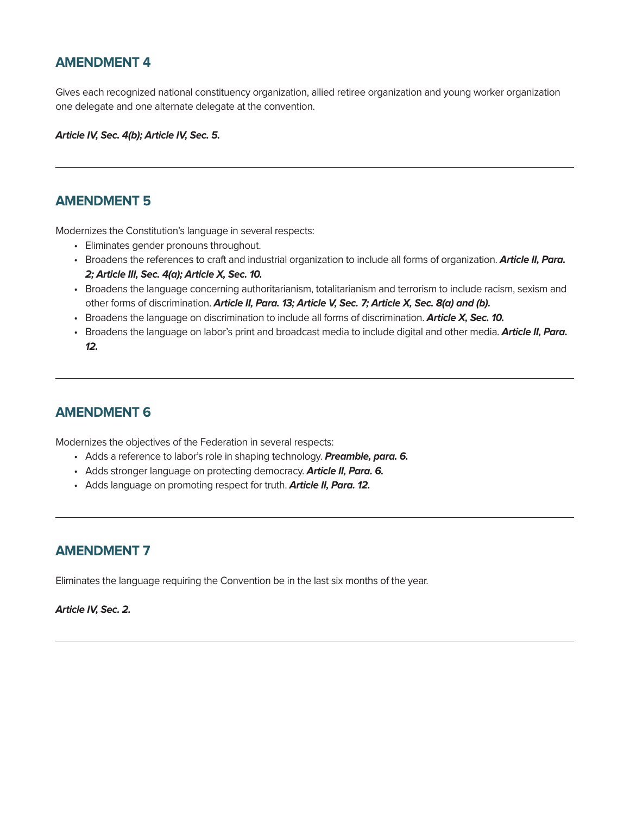## **AMENDMENT 4**

Gives each recognized national constituency organization, allied retiree organization and young worker organization one delegate and one alternate delegate at the convention.

**Article IV, Sec. 4(b); Article IV, Sec. 5.**

#### **AMENDMENT 5**

Modernizes the Constitution's language in several respects:

- Eliminates gender pronouns throughout.
- Broadens the references to craft and industrial organization to include all forms of organization. **Article II, Para. 2; Article III, Sec. 4(a); Article X, Sec. 10.**
- Broadens the language concerning authoritarianism, totalitarianism and terrorism to include racism, sexism and other forms of discrimination. **Article II, Para. 13; Article V, Sec. 7; Article X, Sec. 8(a) and (b).**
- Broadens the language on discrimination to include all forms of discrimination. **Article X, Sec. 10.**
- Broadens the language on labor's print and broadcast media to include digital and other media. **Article II, Para. 12.**

## **AMENDMENT 6**

Modernizes the objectives of the Federation in several respects:

- Adds a reference to labor's role in shaping technology. **Preamble, para. 6.**
- Adds stronger language on protecting democracy. **Article II, Para. 6.**
- Adds language on promoting respect for truth. **Article II, Para. 12.**

## **AMENDMENT 7**

Eliminates the language requiring the Convention be in the last six months of the year.

#### **Article IV, Sec. 2.**